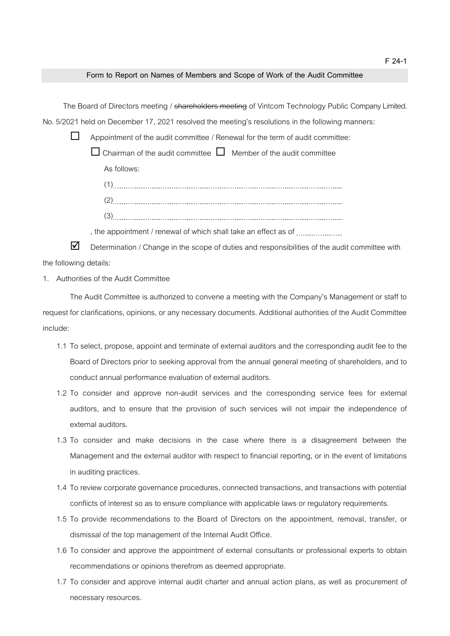## **Form to Report on Names of Members and Scope of Work of the Audit Committee**

The Board of Directors meeting / shareholders meeting of Vintcom Technology Public Company Limited. No.5/2021 held on December 17, 2021 resolved the meeting's resolutions in the following manners:

 $\Box$  Appointment of the audit committee / Renewal for the term of audit committee:

 $\Box$  Chairman of the audit committee  $\Box$  Member of the audit committee

As follows:

(1) (2) (3)

, the appointment / renewal of which shall take an effect as of .......................

 $\Box$  Determination / Change in the scope of duties and responsibilities of the audit committee with the following details:

1. Authorities of the Audit Committee

The Audit Committee is authorized to convene a meeting with the Company's Management or staff to request for clarifications, opinions, or any necessary documents. Additional authorities of the Audit Committee include:

- 1.1 To select, propose, appoint and terminate of external auditors and the corresponding audit fee to the Board of Directors prior to seeking approval from the annual general meeting of shareholders, and to conduct annual performance evaluation of external auditors.
- 1.2 To consider and approve non-audit services and the corresponding service fees for external auditors, and to ensure that the provision of such services will not impair the independence of external auditors.
- 1.3 To consider and make decisions in the case where there is a disagreement between the Management and the external auditor with respect to financial reporting, or in the event of limitations in auditing practices.
- 1.4 To review corporate governance procedures, connected transactions, and transactions with potential conflicts of interest so as to ensure compliance with applicable laws or regulatory requirements.
- 1.5 To provide recommendations to the Board of Directors on the appointment, removal, transfer, or dismissal of the top management of the Internal Audit Office.
- 1.6 To consider and approve the appointment of external consultants or professional experts to obtain recommendations or opinions therefrom as deemed appropriate.
- 1.7 To consider and approve internal audit charter and annual action plans, as well as procurement of necessary resources.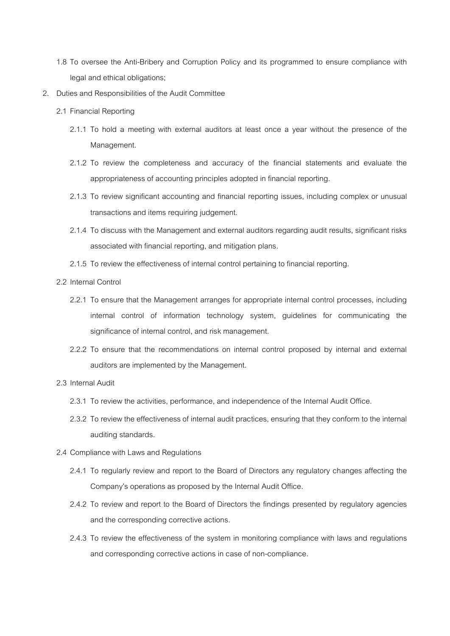- 1.8 To oversee the Anti-Bribery and Corruption Policy and its programmed to ensure compliance with legal and ethical obligations;
- 2. Duties and Responsibilities of the Audit Committee
	- 2.1 Financial Reporting
		- 2.1.1 To hold a meeting with external auditors at least once a year without the presence of the Management.
		- 2.1.2 To review the completeness and accuracy of the financial statements and evaluate the appropriateness of accounting principles adopted in financial reporting.
		- 2.1.3 To review significant accounting and financial reporting issues, including complex or unusual transactions and items requiring judgement.
		- 2.1.4 To discuss with the Management and external auditors regarding audit results, significant risks associated with financial reporting, and mitigation plans.
		- 2.1.5 To review the effectiveness of internal control pertaining to financial reporting.
	- 2.2 Internal Control
		- 2.2.1 To ensure that the Management arranges for appropriate internal control processes, including internal control of information technology system, guidelines for communicating the significance of internal control, and risk management.
		- 2.2.2 To ensure that the recommendations on internal control proposed by internal and external auditors are implemented by the Management.
	- 2.3 Internal Audit
		- 2.3.1 To review the activities, performance, and independence of the Internal Audit Office.
		- 2.3.2 To review the effectiveness of internal audit practices, ensuring that they conform to the internal auditing standards.
	- 2.4 Compliance with Laws and Regulations
		- 2.4.1 To regularly review and report to the Board of Directors any regulatory changes affecting the Company's operations as proposed by the Internal Audit Office.
		- 2.4.2 To review and report to the Board of Directors the findings presented by regulatory agencies and the corresponding corrective actions.
		- 2.4.3 To review the effectiveness of the system in monitoring compliance with laws and regulations and corresponding corrective actions in case of non-compliance.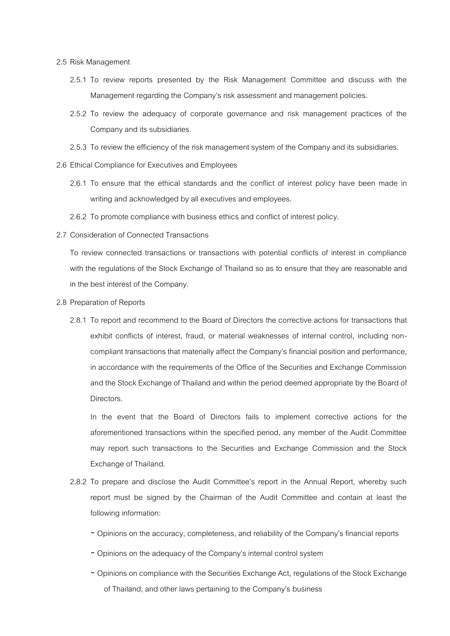## 2.5 Risk Management

- 2.5.1 To review reports presented by the Risk Management Committee and discuss with the Management regarding the Company's risk assessment and management policies.
- 2.5.2 To review the adequacy of corporate governance and risk management practices of the Company and its subsidiaries.
- 2.5.3 To review the efficiency of the risk management system of the Company and its subsidiaries.
- 2.6 Ethical Compliance for Executives and Employees
	- 2.6.1 To ensure that the ethical standards and the conflict of interest policy have been made in writing and acknowledged by all executives and employees.
	- 2.6.2 To promote compliance with business ethics and conflict of interest policy.
- 2.7 Consideration of Connected Transactions

To review connected transactions or transactions with potential conflicts of interest in compliance with the regulations of the Stock Exchange of Thailand so as to ensure that they are reasonable and in the best interest of the Company.

- 2.8 Preparation of Reports
	- 2.8.1 To report and recommend to the Board of Directors the corrective actions for transactions that exhibit conflicts of interest, fraud, or material weaknesses of internal control, including noncompliant transactions that materially affect the Company's financial position and performance, in accordance with the requirements of the Office of the Securities and Exchange Commission and the Stock Exchange of Thailand and within the period deemed appropriate by the Board of Directors.

In the event that the Board of Directors fails to implement corrective actions for the aforementioned transactions within the specified period, any member of the Audit Committee may report such transactions to the Securities and Exchange Commission and the Stock Exchange of Thailand.

- 2.8.2 To prepare and disclose the Audit Committee's report in the Annual Report, whereby such report must be signed by the Chairman of the Audit Committee and contain at least the following information:
	- Opinions on the accuracy, completeness, and reliability of the Company's financial reports
	- Opinions on the adequacy of the Company's internal control system
	- Opinions on compliance with the Securities Exchange Act, regulations of the Stock Exchange of Thailand, and other laws pertaining to the Company's business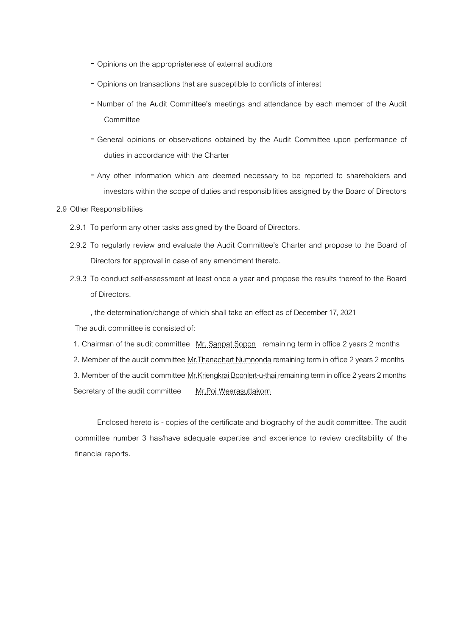- Opinions on the appropriateness of external auditors
- Opinions on transactions that are susceptible to conflicts of interest
- Number of the Audit Committee's meetings and attendance by each member of the Audit **Committee**
- General opinions or observations obtained by the Audit Committee upon performance of duties in accordance with the Charter
- Any other information which are deemed necessary to be reported to shareholders and investors within the scope of duties and responsibilities assigned by the Board of Directors
- 2.9 Other Responsibilities
	- 2.9.1 To perform any other tasks assigned by the Board of Directors.
	- 2.9.2 To regularly review and evaluate the Audit Committee's Charter and propose to the Board of Directors for approval in case of any amendment thereto.
	- 2.9.3 To conduct self-assessment at least once a year and propose the results thereof to the Board of Directors.
		- , the determination/change of which shall take an effect as of December 17, 2021

The audit committee is consisted of:

- 1. Chairman of the audit committee Mr. Sanpat Sopon remaining term in office 2 years 2 months
- 2. Member of the audit committee Mr. Thanachart Numnonda remaining term in office 2 years 2 months

3. Member of the audit committee Mr.Kriengkrai Boonlert-u-thai remaining term in office 2 years 2 months Secretary of the audit committee Mr.Poj Weerasuttakorn

Enclosed hereto is -copies of the certificate and biography of the audit committee. The audit committee number 3 has/have adequate expertise and experience to review creditability of the financial reports.